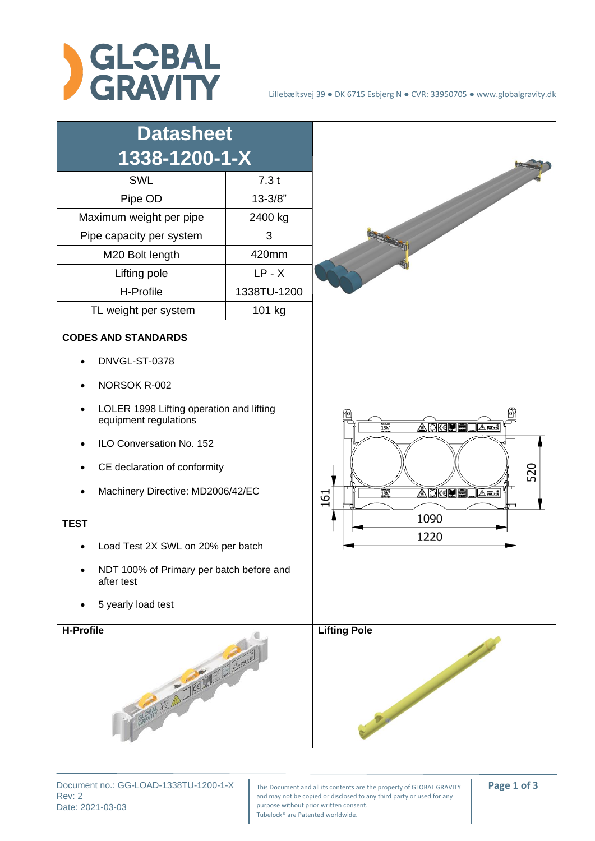



Rev: 2 Date: 2021-03-03

Document no.: GG-LOAD-1338TU-1200-1-X | This Document and all its contents are the property of GLOBAL GRAVITY | **Page 1 of 3** and may not be copied or disclosed to any third party or used for any purpose without prior written consent. Tubelock® are Patented worldwide.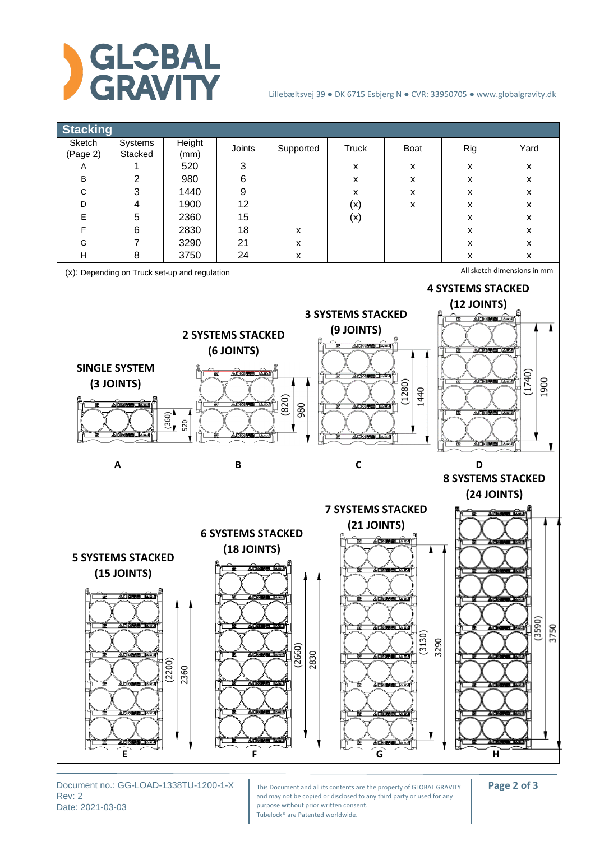

## Lillebæltsvej 39 ● DK 6715 Esbjerg N ● CVR: 33950705 ● www.globalgravity.dk



Rev: 2 Date: 2021-03-03

Document no.: GG-LOAD-1338TU-1200-1-X | This Document and all its contents are the property of GLOBAL GRAVITY | **Page 2 of 3** and may not be copied or disclosed to any third party or used for any purpose without prior written consent. Tubelock® are Patented worldwide.